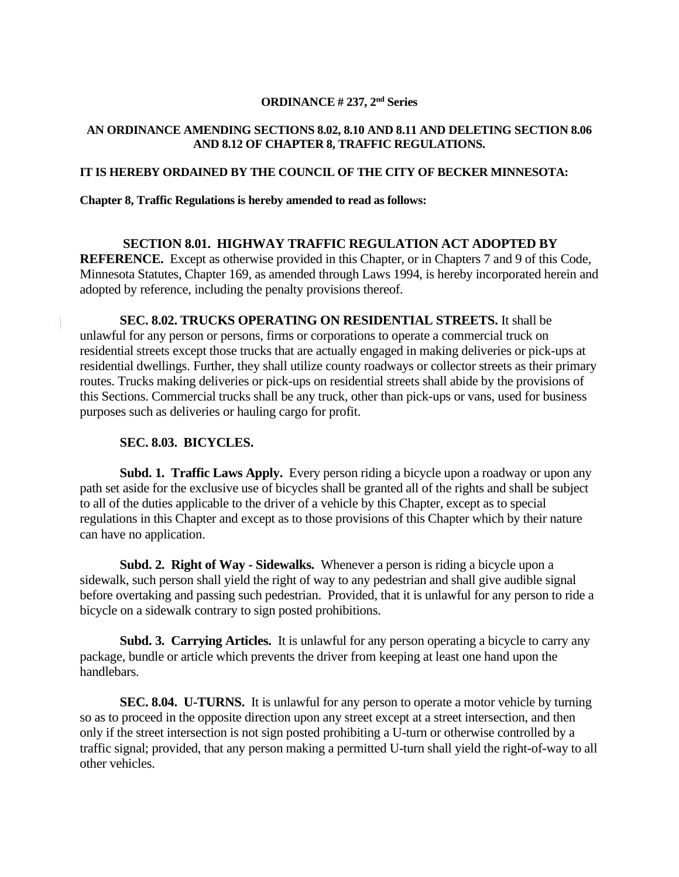#### **ORDINANCE # 237, 2nd Series**

### **AN ORDINANCE AMENDING SECTIONS 8.02, 8.10 AND 8.11 AND DELETING SECTION 8.06 AND 8.12 OF CHAPTER 8, TRAFFIC REGULATIONS.**

#### **IT IS HEREBY ORDAINED BY THE COUNCIL OF THE CITY OF BECKER MINNESOTA:**

#### **Chapter 8, Traffic Regulations is hereby amended to read as follows:**

**SECTION 8.01. HIGHWAY TRAFFIC REGULATION ACT ADOPTED BY REFERENCE.** Except as otherwise provided in this Chapter, or in Chapters 7 and 9 of this Code, Minnesota Statutes, Chapter 169, as amended through Laws 1994, is hereby incorporated herein and adopted by reference, including the penalty provisions thereof.

**SEC. 8.02. TRUCKS OPERATING ON RESIDENTIAL STREETS.** It shall be unlawful for any person or persons, firms or corporations to operate a commercial truck on residential streets except those trucks that are actually engaged in making deliveries or pick-ups at residential dwellings. Further, they shall utilize county roadways or collector streets as their primary routes. Trucks making deliveries or pick-ups on residential streets shall abide by the provisions of this Sections. Commercial trucks shall be any truck, other than pick-ups or vans, used for business purposes such as deliveries or hauling cargo for profit.

#### **SEC. 8.03. BICYCLES.**

**Subd. 1. Traffic Laws Apply.** Every person riding a bicycle upon a roadway or upon any path set aside for the exclusive use of bicycles shall be granted all of the rights and shall be subject to all of the duties applicable to the driver of a vehicle by this Chapter, except as to special regulations in this Chapter and except as to those provisions of this Chapter which by their nature can have no application.

**Subd. 2. Right of Way - Sidewalks.** Whenever a person is riding a bicycle upon a sidewalk, such person shall yield the right of way to any pedestrian and shall give audible signal before overtaking and passing such pedestrian. Provided, that it is unlawful for any person to ride a bicycle on a sidewalk contrary to sign posted prohibitions.

**Subd. 3. Carrying Articles.** It is unlawful for any person operating a bicycle to carry any package, bundle or article which prevents the driver from keeping at least one hand upon the handlebars.

 **SEC. 8.04. U-TURNS.** It is unlawful for any person to operate a motor vehicle by turning so as to proceed in the opposite direction upon any street except at a street intersection, and then only if the street intersection is not sign posted prohibiting a U-turn or otherwise controlled by a traffic signal; provided, that any person making a permitted U-turn shall yield the right-of-way to all other vehicles.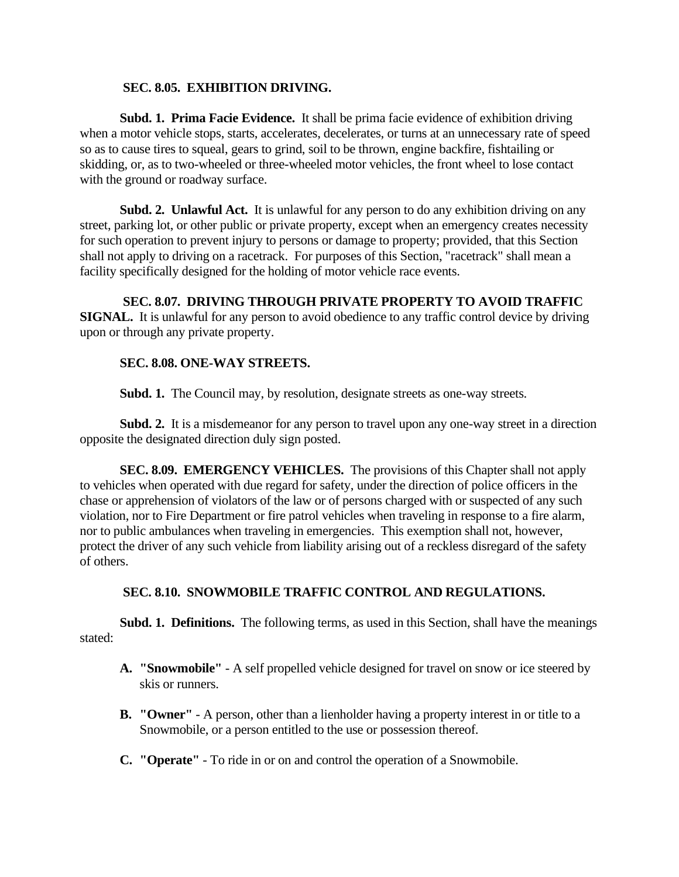### **SEC. 8.05. EXHIBITION DRIVING.**

**Subd. 1. Prima Facie Evidence.** It shall be prima facie evidence of exhibition driving when a motor vehicle stops, starts, accelerates, decelerates, or turns at an unnecessary rate of speed so as to cause tires to squeal, gears to grind, soil to be thrown, engine backfire, fishtailing or skidding, or, as to two-wheeled or three-wheeled motor vehicles, the front wheel to lose contact with the ground or roadway surface.

**Subd. 2. Unlawful Act.** It is unlawful for any person to do any exhibition driving on any street, parking lot, or other public or private property, except when an emergency creates necessity for such operation to prevent injury to persons or damage to property; provided, that this Section shall not apply to driving on a racetrack. For purposes of this Section, "racetrack" shall mean a facility specifically designed for the holding of motor vehicle race events.

 **SEC. 8.07. DRIVING THROUGH PRIVATE PROPERTY TO AVOID TRAFFIC SIGNAL.** It is unlawful for any person to avoid obedience to any traffic control device by driving upon or through any private property.

## **SEC. 8.08. ONE-WAY STREETS.**

**Subd. 1.** The Council may, by resolution, designate streets as one-way streets.

**Subd. 2.** It is a misdemeanor for any person to travel upon any one-way street in a direction opposite the designated direction duly sign posted.

 **SEC. 8.09. EMERGENCY VEHICLES.** The provisions of this Chapter shall not apply to vehicles when operated with due regard for safety, under the direction of police officers in the chase or apprehension of violators of the law or of persons charged with or suspected of any such violation, nor to Fire Department or fire patrol vehicles when traveling in response to a fire alarm, nor to public ambulances when traveling in emergencies. This exemption shall not, however, protect the driver of any such vehicle from liability arising out of a reckless disregard of the safety of others.

# **SEC. 8.10. SNOWMOBILE TRAFFIC CONTROL AND REGULATIONS.**

**Subd. 1. Definitions.** The following terms, as used in this Section, shall have the meanings stated:

- **A. "Snowmobile"** A self propelled vehicle designed for travel on snow or ice steered by skis or runners.
- **B. "Owner"** A person, other than a lienholder having a property interest in or title to a Snowmobile, or a person entitled to the use or possession thereof.
- **C. "Operate"** To ride in or on and control the operation of a Snowmobile.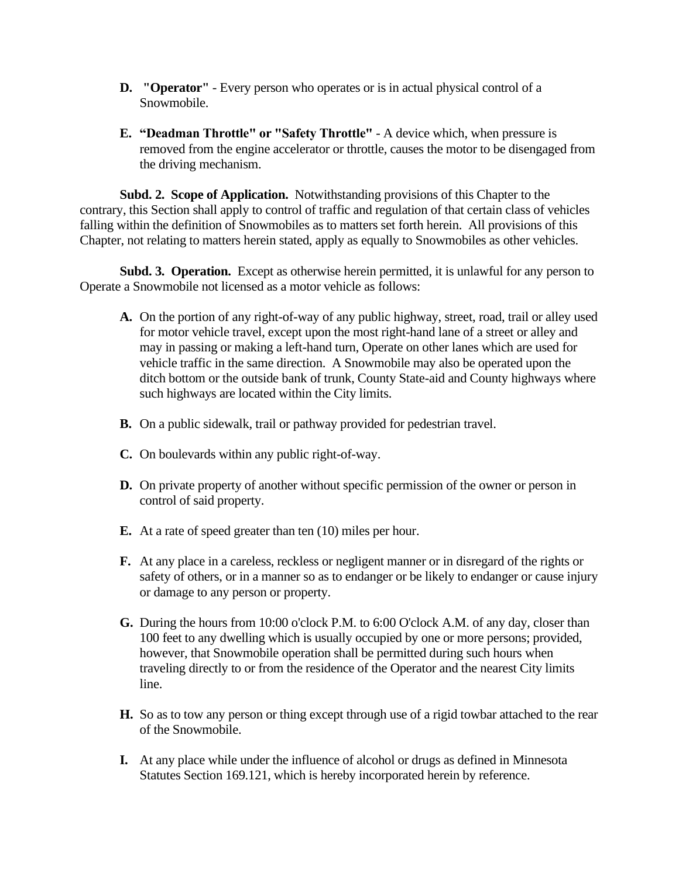- **D. "Operator"**  Every person who operates or is in actual physical control of a Snowmobile.
- **E. "Deadman Throttle" or "Safety Throttle"** A device which, when pressure is removed from the engine accelerator or throttle, causes the motor to be disengaged from the driving mechanism.

**Subd. 2. Scope of Application.** Notwithstanding provisions of this Chapter to the contrary, this Section shall apply to control of traffic and regulation of that certain class of vehicles falling within the definition of Snowmobiles as to matters set forth herein. All provisions of this Chapter, not relating to matters herein stated, apply as equally to Snowmobiles as other vehicles.

**Subd. 3. Operation.** Except as otherwise herein permitted, it is unlawful for any person to Operate a Snowmobile not licensed as a motor vehicle as follows:

- **A.** On the portion of any right-of-way of any public highway, street, road, trail or alley used for motor vehicle travel, except upon the most right-hand lane of a street or alley and may in passing or making a left-hand turn, Operate on other lanes which are used for vehicle traffic in the same direction. A Snowmobile may also be operated upon the ditch bottom or the outside bank of trunk, County State-aid and County highways where such highways are located within the City limits.
- **B.** On a public sidewalk, trail or pathway provided for pedestrian travel.
- **C.** On boulevards within any public right-of-way.
- **D.** On private property of another without specific permission of the owner or person in control of said property.
- **E.** At a rate of speed greater than ten (10) miles per hour.
- **F.** At any place in a careless, reckless or negligent manner or in disregard of the rights or safety of others, or in a manner so as to endanger or be likely to endanger or cause injury or damage to any person or property.
- **G.** During the hours from 10:00 o'clock P.M. to 6:00 O'clock A.M. of any day, closer than 100 feet to any dwelling which is usually occupied by one or more persons; provided, however, that Snowmobile operation shall be permitted during such hours when traveling directly to or from the residence of the Operator and the nearest City limits line.
- **H.** So as to tow any person or thing except through use of a rigid towbar attached to the rear of the Snowmobile.
- **I.** At any place while under the influence of alcohol or drugs as defined in Minnesota Statutes Section 169.121, which is hereby incorporated herein by reference.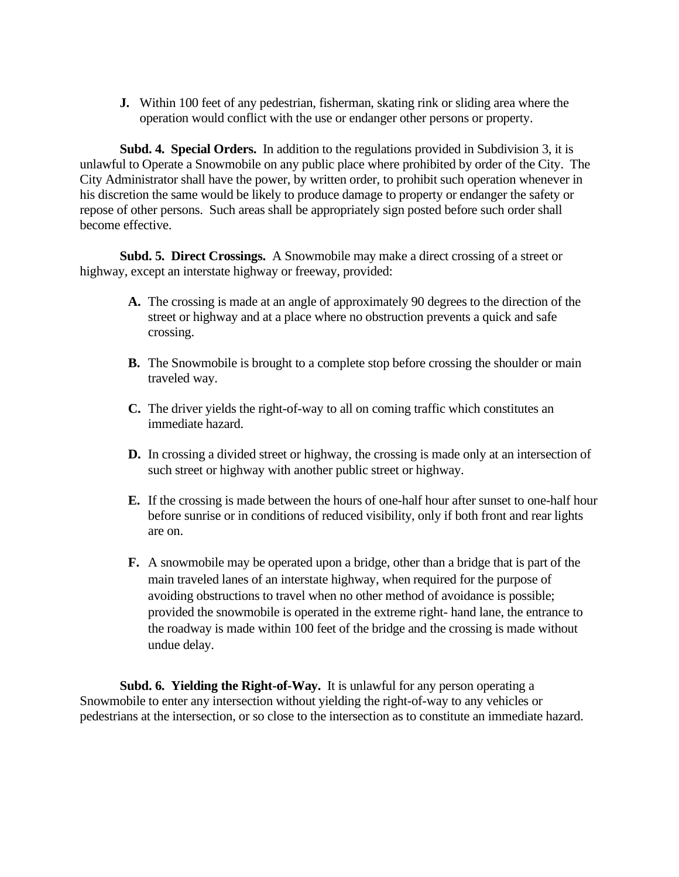**J.** Within 100 feet of any pedestrian, fisherman, skating rink or sliding area where the operation would conflict with the use or endanger other persons or property.

**Subd. 4. Special Orders.** In addition to the regulations provided in Subdivision 3, it is unlawful to Operate a Snowmobile on any public place where prohibited by order of the City. The City Administrator shall have the power, by written order, to prohibit such operation whenever in his discretion the same would be likely to produce damage to property or endanger the safety or repose of other persons. Such areas shall be appropriately sign posted before such order shall become effective.

**Subd. 5. Direct Crossings.** A Snowmobile may make a direct crossing of a street or highway, except an interstate highway or freeway, provided:

- **A.** The crossing is made at an angle of approximately 90 degrees to the direction of the street or highway and at a place where no obstruction prevents a quick and safe crossing.
- **B.** The Snowmobile is brought to a complete stop before crossing the shoulder or main traveled way.
- **C.** The driver yields the right-of-way to all on coming traffic which constitutes an immediate hazard.
- **D.** In crossing a divided street or highway, the crossing is made only at an intersection of such street or highway with another public street or highway.
- **E.** If the crossing is made between the hours of one-half hour after sunset to one-half hour before sunrise or in conditions of reduced visibility, only if both front and rear lights are on.
- **F.** A snowmobile may be operated upon a bridge, other than a bridge that is part of the main traveled lanes of an interstate highway, when required for the purpose of avoiding obstructions to travel when no other method of avoidance is possible; provided the snowmobile is operated in the extreme right- hand lane, the entrance to the roadway is made within 100 feet of the bridge and the crossing is made without undue delay.

**Subd. 6. Yielding the Right-of-Way.** It is unlawful for any person operating a Snowmobile to enter any intersection without yielding the right-of-way to any vehicles or pedestrians at the intersection, or so close to the intersection as to constitute an immediate hazard.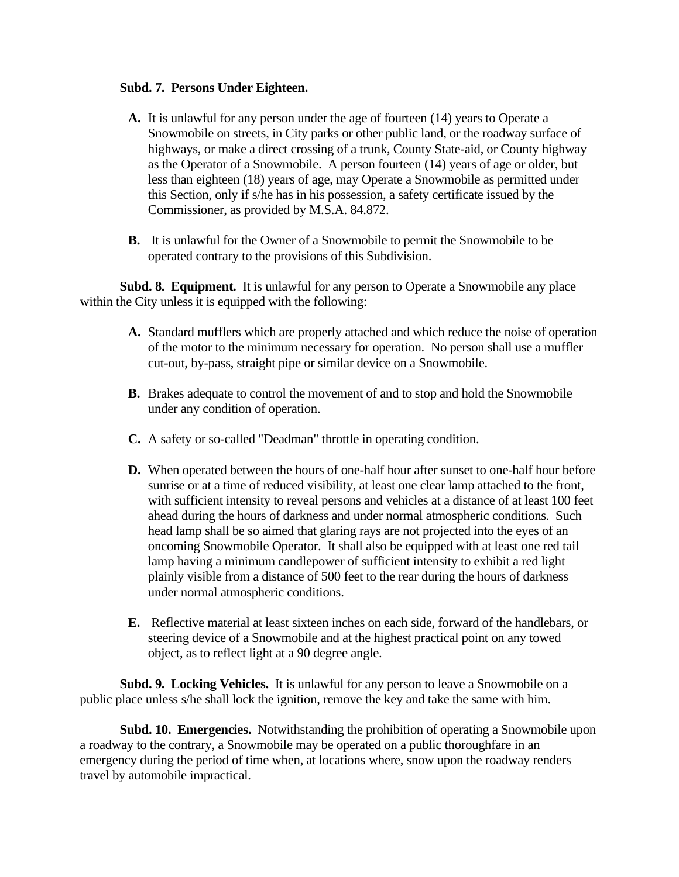### **Subd. 7. Persons Under Eighteen.**

- **A.** It is unlawful for any person under the age of fourteen (14) years to Operate a Snowmobile on streets, in City parks or other public land, or the roadway surface of highways, or make a direct crossing of a trunk, County State-aid, or County highway as the Operator of a Snowmobile. A person fourteen (14) years of age or older, but less than eighteen (18) years of age, may Operate a Snowmobile as permitted under this Section, only if s/he has in his possession, a safety certificate issued by the Commissioner, as provided by M.S.A. 84.872.
- **B.** It is unlawful for the Owner of a Snowmobile to permit the Snowmobile to be operated contrary to the provisions of this Subdivision.

**Subd. 8. Equipment.** It is unlawful for any person to Operate a Snowmobile any place within the City unless it is equipped with the following:

- **A.** Standard mufflers which are properly attached and which reduce the noise of operation of the motor to the minimum necessary for operation. No person shall use a muffler cut-out, by-pass, straight pipe or similar device on a Snowmobile.
- **B.** Brakes adequate to control the movement of and to stop and hold the Snowmobile under any condition of operation.
- **C.** A safety or so-called "Deadman" throttle in operating condition.
- **D.** When operated between the hours of one-half hour after sunset to one-half hour before sunrise or at a time of reduced visibility, at least one clear lamp attached to the front, with sufficient intensity to reveal persons and vehicles at a distance of at least 100 feet ahead during the hours of darkness and under normal atmospheric conditions. Such head lamp shall be so aimed that glaring rays are not projected into the eyes of an oncoming Snowmobile Operator. It shall also be equipped with at least one red tail lamp having a minimum candlepower of sufficient intensity to exhibit a red light plainly visible from a distance of 500 feet to the rear during the hours of darkness under normal atmospheric conditions.
- **E.** Reflective material at least sixteen inches on each side, forward of the handlebars, or steering device of a Snowmobile and at the highest practical point on any towed object, as to reflect light at a 90 degree angle.

**Subd. 9. Locking Vehicles.** It is unlawful for any person to leave a Snowmobile on a public place unless s/he shall lock the ignition, remove the key and take the same with him.

**Subd. 10. Emergencies.** Notwithstanding the prohibition of operating a Snowmobile upon a roadway to the contrary, a Snowmobile may be operated on a public thoroughfare in an emergency during the period of time when, at locations where, snow upon the roadway renders travel by automobile impractical.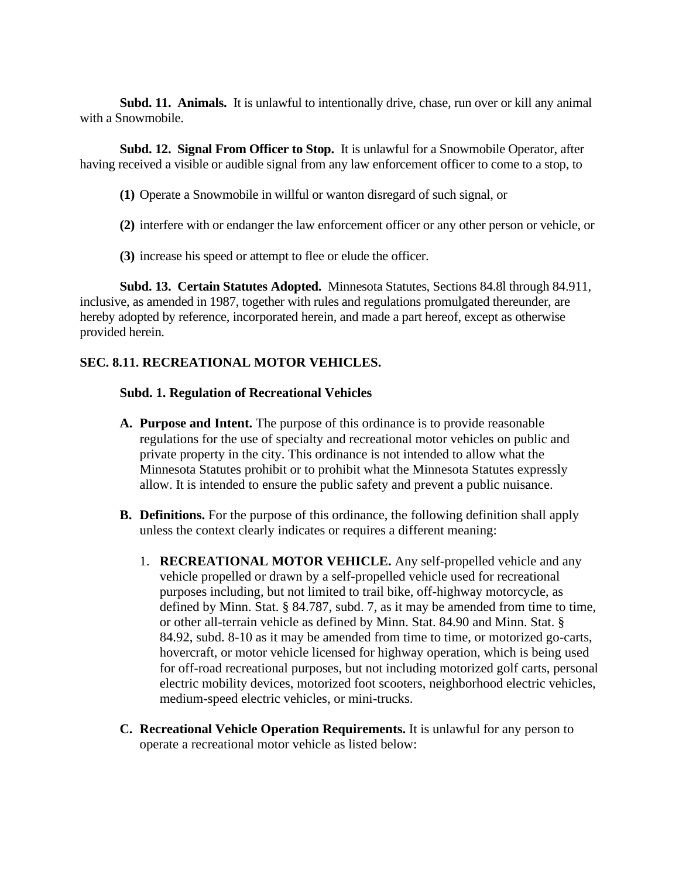**Subd. 11. Animals.** It is unlawful to intentionally drive, chase, run over or kill any animal with a Snowmobile.

**Subd. 12. Signal From Officer to Stop.** It is unlawful for a Snowmobile Operator, after having received a visible or audible signal from any law enforcement officer to come to a stop, to

- **(1)** Operate a Snowmobile in willful or wanton disregard of such signal, or
- **(2)** interfere with or endanger the law enforcement officer or any other person or vehicle, or
- **(3)** increase his speed or attempt to flee or elude the officer.

**Subd. 13. Certain Statutes Adopted.** Minnesota Statutes, Sections 84.8l through 84.911, inclusive, as amended in 1987, together with rules and regulations promulgated thereunder, are hereby adopted by reference, incorporated herein, and made a part hereof, except as otherwise provided herein.

# **SEC. 8.11. RECREATIONAL MOTOR VEHICLES.**

## **Subd. 1. Regulation of Recreational Vehicles**

- **A. Purpose and Intent.** The purpose of this ordinance is to provide reasonable regulations for the use of specialty and recreational motor vehicles on public and private property in the city. This ordinance is not intended to allow what the Minnesota Statutes prohibit or to prohibit what the Minnesota Statutes expressly allow. It is intended to ensure the public safety and prevent a public nuisance.
- **B. Definitions.** For the purpose of this ordinance, the following definition shall apply unless the context clearly indicates or requires a different meaning:
	- 1. **RECREATIONAL MOTOR VEHICLE.** Any self-propelled vehicle and any vehicle propelled or drawn by a self-propelled vehicle used for recreational purposes including, but not limited to trail bike, off-highway motorcycle, as defined by Minn. Stat. § 84.787, subd. 7, as it may be amended from time to time, or other all-terrain vehicle as defined by Minn. Stat. 84.90 and Minn. Stat. § 84.92, subd. 8-10 as it may be amended from time to time, or motorized go-carts, hovercraft, or motor vehicle licensed for highway operation, which is being used for off-road recreational purposes, but not including motorized golf carts, personal electric mobility devices, motorized foot scooters, neighborhood electric vehicles, medium-speed electric vehicles, or mini-trucks.
- **C. Recreational Vehicle Operation Requirements.** It is unlawful for any person to operate a recreational motor vehicle as listed below: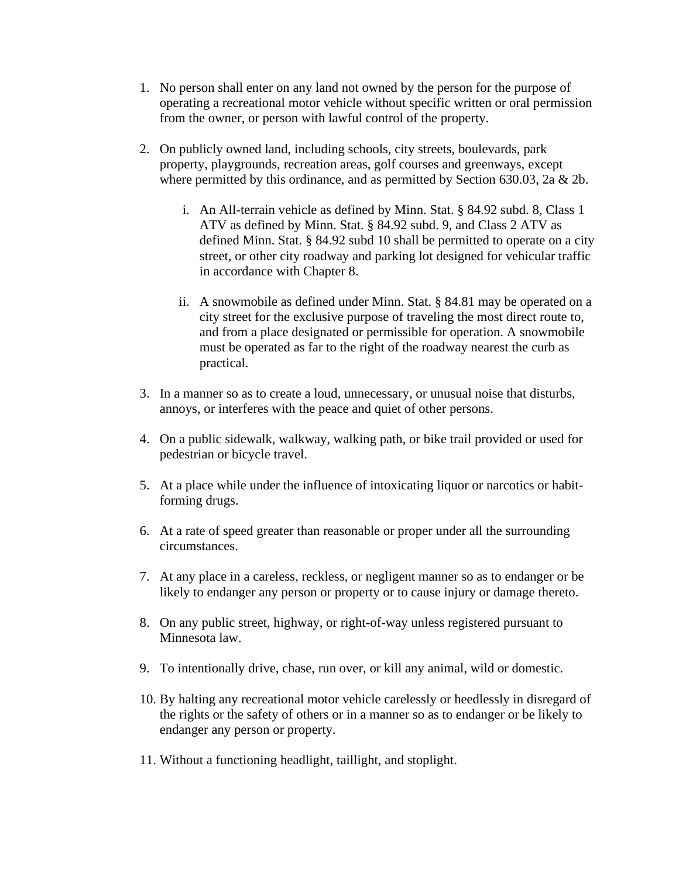- 1. No person shall enter on any land not owned by the person for the purpose of operating a recreational motor vehicle without specific written or oral permission from the owner, or person with lawful control of the property.
- 2. On publicly owned land, including schools, city streets, boulevards, park property, playgrounds, recreation areas, golf courses and greenways, except where permitted by this ordinance, and as permitted by Section 630.03,  $2a \& 2b$ .
	- i. An All-terrain vehicle as defined by Minn. Stat. § 84.92 subd. 8, Class 1 ATV as defined by Minn. Stat. § 84.92 subd. 9, and Class 2 ATV as defined Minn. Stat. § 84.92 subd 10 shall be permitted to operate on a city street, or other city roadway and parking lot designed for vehicular traffic in accordance with Chapter 8.
	- ii. A snowmobile as defined under Minn. Stat. § 84.81 may be operated on a city street for the exclusive purpose of traveling the most direct route to, and from a place designated or permissible for operation. A snowmobile must be operated as far to the right of the roadway nearest the curb as practical.
- 3. In a manner so as to create a loud, unnecessary, or unusual noise that disturbs, annoys, or interferes with the peace and quiet of other persons.
- 4. On a public sidewalk, walkway, walking path, or bike trail provided or used for pedestrian or bicycle travel.
- 5. At a place while under the influence of intoxicating liquor or narcotics or habitforming drugs.
- 6. At a rate of speed greater than reasonable or proper under all the surrounding circumstances.
- 7. At any place in a careless, reckless, or negligent manner so as to endanger or be likely to endanger any person or property or to cause injury or damage thereto.
- 8. On any public street, highway, or right-of-way unless registered pursuant to Minnesota law.
- 9. To intentionally drive, chase, run over, or kill any animal, wild or domestic.
- 10. By halting any recreational motor vehicle carelessly or heedlessly in disregard of the rights or the safety of others or in a manner so as to endanger or be likely to endanger any person or property.
- 11. Without a functioning headlight, taillight, and stoplight.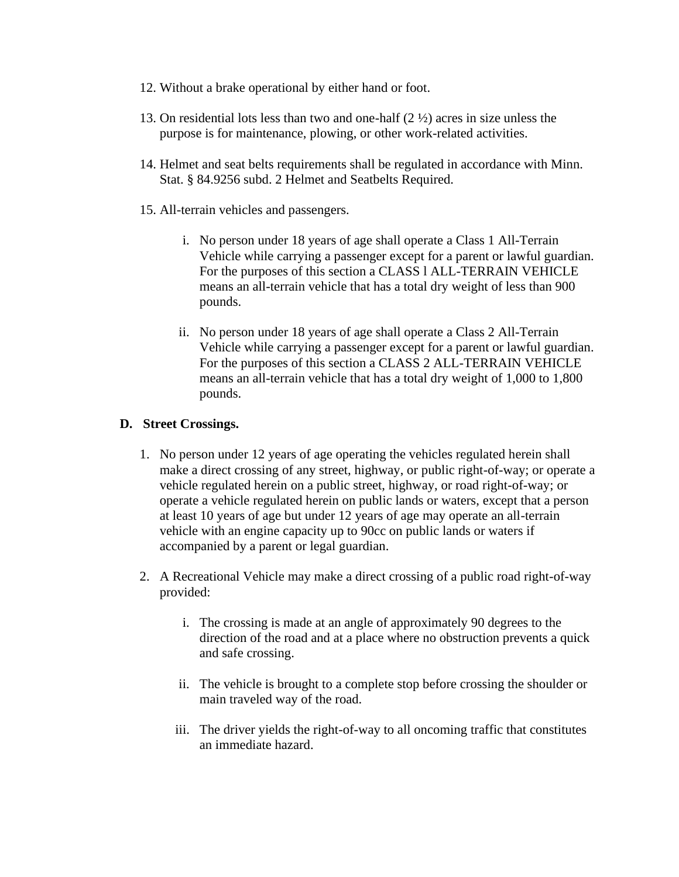- 12. Without a brake operational by either hand or foot.
- 13. On residential lots less than two and one-half  $(2 \frac{1}{2})$  acres in size unless the purpose is for maintenance, plowing, or other work-related activities.
- 14. Helmet and seat belts requirements shall be regulated in accordance with Minn. Stat. § 84.9256 subd. 2 Helmet and Seatbelts Required.
- 15. All-terrain vehicles and passengers.
	- i. No person under 18 years of age shall operate a Class 1 All-Terrain Vehicle while carrying a passenger except for a parent or lawful guardian. For the purposes of this section a CLASS l ALL-TERRAIN VEHICLE means an all-terrain vehicle that has a total dry weight of less than 900 pounds.
	- ii. No person under 18 years of age shall operate a Class 2 All-Terrain Vehicle while carrying a passenger except for a parent or lawful guardian. For the purposes of this section a CLASS 2 ALL-TERRAIN VEHICLE means an all-terrain vehicle that has a total dry weight of 1,000 to 1,800 pounds.

### **D. Street Crossings.**

- 1. No person under 12 years of age operating the vehicles regulated herein shall make a direct crossing of any street, highway, or public right-of-way; or operate a vehicle regulated herein on a public street, highway, or road right-of-way; or operate a vehicle regulated herein on public lands or waters, except that a person at least 10 years of age but under 12 years of age may operate an all-terrain vehicle with an engine capacity up to 90cc on public lands or waters if accompanied by a parent or legal guardian.
- 2. A Recreational Vehicle may make a direct crossing of a public road right-of-way provided:
	- i. The crossing is made at an angle of approximately 90 degrees to the direction of the road and at a place where no obstruction prevents a quick and safe crossing.
	- ii. The vehicle is brought to a complete stop before crossing the shoulder or main traveled way of the road.
	- iii. The driver yields the right-of-way to all oncoming traffic that constitutes an immediate hazard.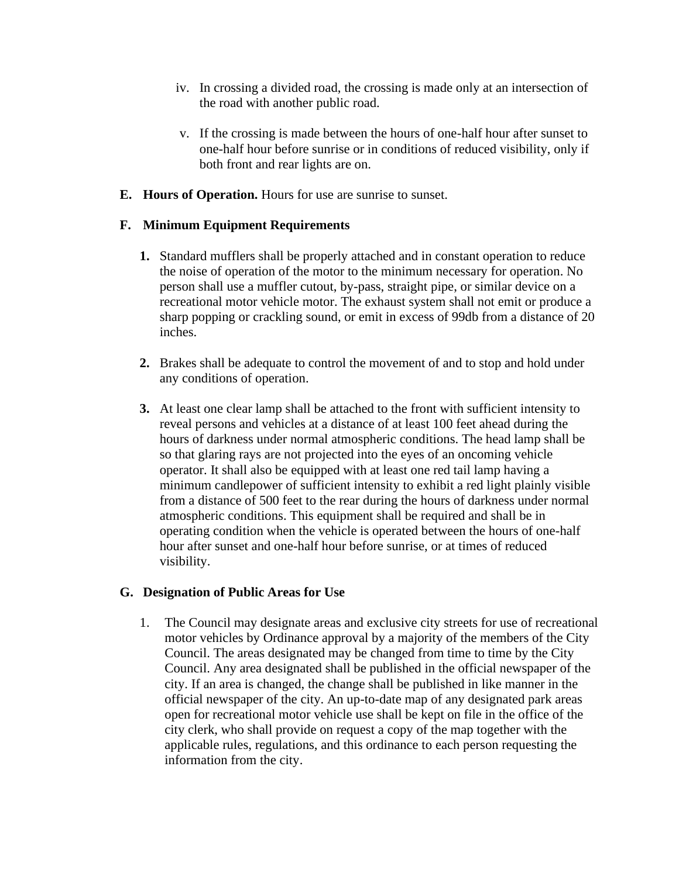- iv. In crossing a divided road, the crossing is made only at an intersection of the road with another public road.
- v. If the crossing is made between the hours of one-half hour after sunset to one-half hour before sunrise or in conditions of reduced visibility, only if both front and rear lights are on.
- **E. Hours of Operation.** Hours for use are sunrise to sunset.

## **F. Minimum Equipment Requirements**

- **1.** Standard mufflers shall be properly attached and in constant operation to reduce the noise of operation of the motor to the minimum necessary for operation. No person shall use a muffler cutout, by-pass, straight pipe, or similar device on a recreational motor vehicle motor. The exhaust system shall not emit or produce a sharp popping or crackling sound, or emit in excess of 99db from a distance of 20 inches.
- **2.** Brakes shall be adequate to control the movement of and to stop and hold under any conditions of operation.
- **3.** At least one clear lamp shall be attached to the front with sufficient intensity to reveal persons and vehicles at a distance of at least 100 feet ahead during the hours of darkness under normal atmospheric conditions. The head lamp shall be so that glaring rays are not projected into the eyes of an oncoming vehicle operator. It shall also be equipped with at least one red tail lamp having a minimum candlepower of sufficient intensity to exhibit a red light plainly visible from a distance of 500 feet to the rear during the hours of darkness under normal atmospheric conditions. This equipment shall be required and shall be in operating condition when the vehicle is operated between the hours of one-half hour after sunset and one-half hour before sunrise, or at times of reduced visibility.

### **G. Designation of Public Areas for Use**

1. The Council may designate areas and exclusive city streets for use of recreational motor vehicles by Ordinance approval by a majority of the members of the City Council. The areas designated may be changed from time to time by the City Council. Any area designated shall be published in the official newspaper of the city. If an area is changed, the change shall be published in like manner in the official newspaper of the city. An up-to-date map of any designated park areas open for recreational motor vehicle use shall be kept on file in the office of the city clerk, who shall provide on request a copy of the map together with the applicable rules, regulations, and this ordinance to each person requesting the information from the city.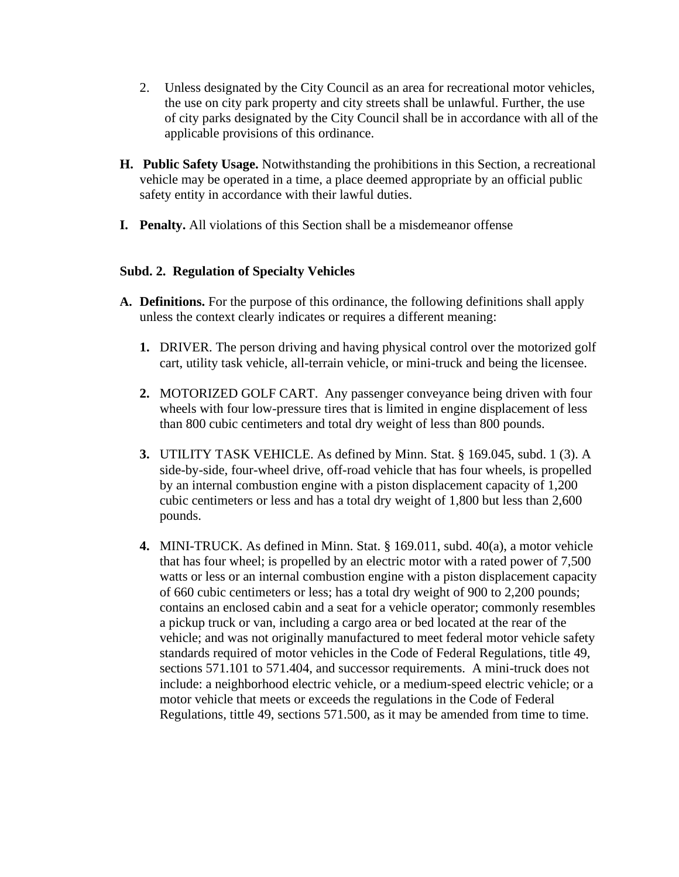- 2. Unless designated by the City Council as an area for recreational motor vehicles, the use on city park property and city streets shall be unlawful. Further, the use of city parks designated by the City Council shall be in accordance with all of the applicable provisions of this ordinance.
- **H. Public Safety Usage.** Notwithstanding the prohibitions in this Section, a recreational vehicle may be operated in a time, a place deemed appropriate by an official public safety entity in accordance with their lawful duties.
- **I. Penalty.** All violations of this Section shall be a misdemeanor offense

## **Subd. 2. Regulation of Specialty Vehicles**

- **A. Definitions.** For the purpose of this ordinance, the following definitions shall apply unless the context clearly indicates or requires a different meaning:
	- **1.** DRIVER. The person driving and having physical control over the motorized golf cart, utility task vehicle, all-terrain vehicle, or mini-truck and being the licensee.
	- **2.** MOTORIZED GOLF CART. Any passenger conveyance being driven with four wheels with four low-pressure tires that is limited in engine displacement of less than 800 cubic centimeters and total dry weight of less than 800 pounds.
	- **3.** UTILITY TASK VEHICLE. As defined by Minn. Stat. § 169.045, subd. 1 (3). A side-by-side, four-wheel drive, off-road vehicle that has four wheels, is propelled by an internal combustion engine with a piston displacement capacity of 1,200 cubic centimeters or less and has a total dry weight of 1,800 but less than 2,600 pounds.
	- **4.** MINI-TRUCK. As defined in Minn. Stat. § 169.011, subd. 40(a), a motor vehicle that has four wheel; is propelled by an electric motor with a rated power of 7,500 watts or less or an internal combustion engine with a piston displacement capacity of 660 cubic centimeters or less; has a total dry weight of 900 to 2,200 pounds; contains an enclosed cabin and a seat for a vehicle operator; commonly resembles a pickup truck or van, including a cargo area or bed located at the rear of the vehicle; and was not originally manufactured to meet federal motor vehicle safety standards required of motor vehicles in the Code of Federal Regulations, title 49, sections 571.101 to 571.404, and successor requirements. A mini-truck does not include: a neighborhood electric vehicle, or a medium-speed electric vehicle; or a motor vehicle that meets or exceeds the regulations in the Code of Federal Regulations, tittle 49, sections 571.500, as it may be amended from time to time.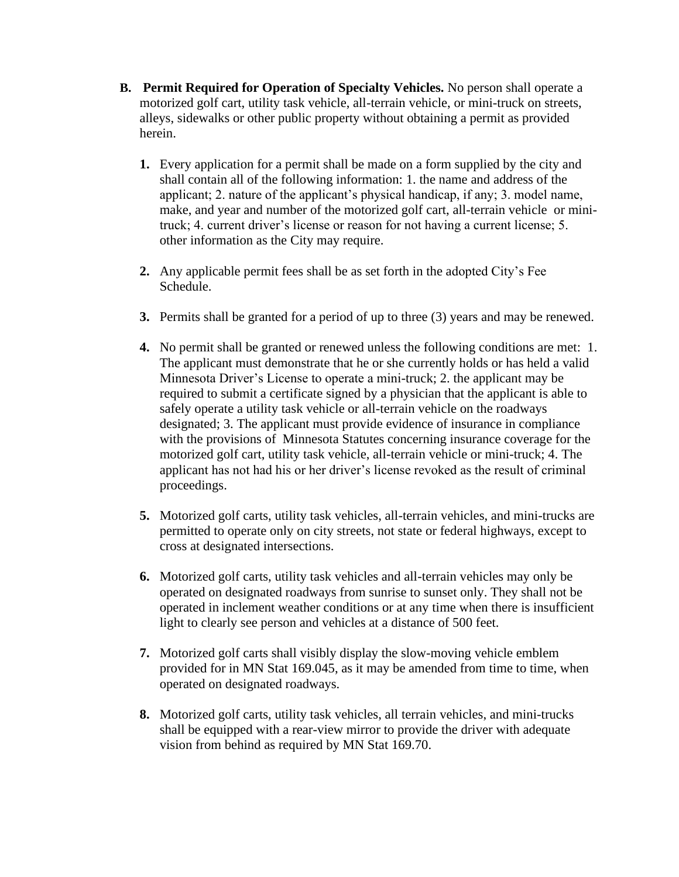- **B. Permit Required for Operation of Specialty Vehicles.** No person shall operate a motorized golf cart, utility task vehicle, all-terrain vehicle, or mini-truck on streets, alleys, sidewalks or other public property without obtaining a permit as provided herein.
	- **1.** Every application for a permit shall be made on a form supplied by the city and shall contain all of the following information: 1. the name and address of the applicant; 2. nature of the applicant's physical handicap, if any; 3. model name, make, and year and number of the motorized golf cart, all-terrain vehicle or minitruck; 4. current driver's license or reason for not having a current license; 5. other information as the City may require.
	- **2.** Any applicable permit fees shall be as set forth in the adopted City's Fee Schedule.
	- **3.** Permits shall be granted for a period of up to three (3) years and may be renewed.
	- **4.** No permit shall be granted or renewed unless the following conditions are met: 1. The applicant must demonstrate that he or she currently holds or has held a valid Minnesota Driver's License to operate a mini-truck; 2. the applicant may be required to submit a certificate signed by a physician that the applicant is able to safely operate a utility task vehicle or all-terrain vehicle on the roadways designated; 3. The applicant must provide evidence of insurance in compliance with the provisions of Minnesota Statutes concerning insurance coverage for the motorized golf cart, utility task vehicle, all-terrain vehicle or mini-truck; 4. The applicant has not had his or her driver's license revoked as the result of criminal proceedings.
	- **5.** Motorized golf carts, utility task vehicles, all-terrain vehicles, and mini-trucks are permitted to operate only on city streets, not state or federal highways, except to cross at designated intersections.
	- **6.** Motorized golf carts, utility task vehicles and all-terrain vehicles may only be operated on designated roadways from sunrise to sunset only. They shall not be operated in inclement weather conditions or at any time when there is insufficient light to clearly see person and vehicles at a distance of 500 feet.
	- **7.** Motorized golf carts shall visibly display the slow-moving vehicle emblem provided for in MN Stat 169.045, as it may be amended from time to time, when operated on designated roadways.
	- **8.** Motorized golf carts, utility task vehicles, all terrain vehicles, and mini-trucks shall be equipped with a rear-view mirror to provide the driver with adequate vision from behind as required by MN Stat 169.70.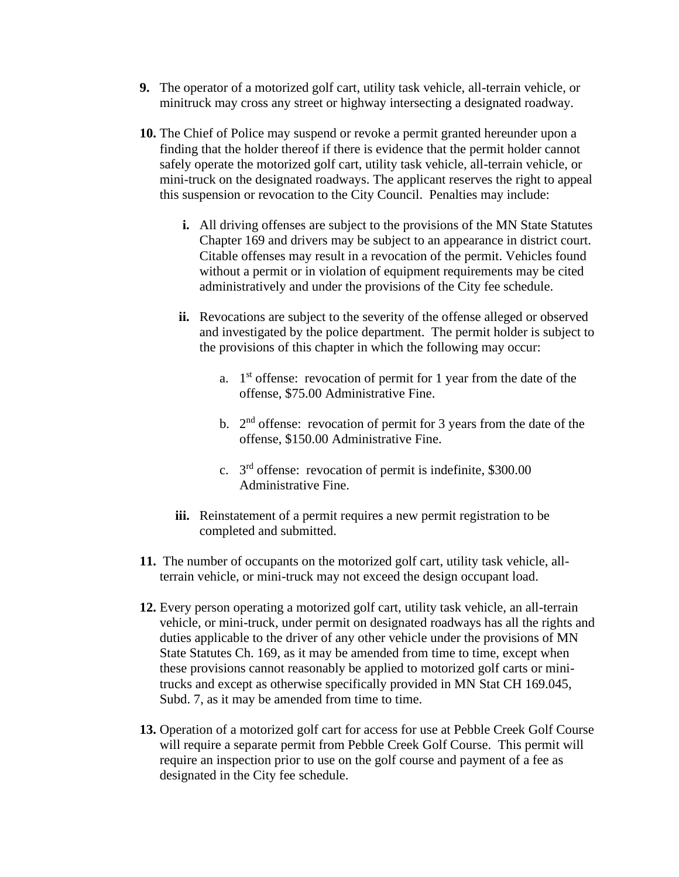- **9.** The operator of a motorized golf cart, utility task vehicle, all-terrain vehicle, or minitruck may cross any street or highway intersecting a designated roadway.
- **10.** The Chief of Police may suspend or revoke a permit granted hereunder upon a finding that the holder thereof if there is evidence that the permit holder cannot safely operate the motorized golf cart, utility task vehicle, all-terrain vehicle, or mini-truck on the designated roadways. The applicant reserves the right to appeal this suspension or revocation to the City Council. Penalties may include:
	- **i.** All driving offenses are subject to the provisions of the MN State Statutes Chapter 169 and drivers may be subject to an appearance in district court. Citable offenses may result in a revocation of the permit. Vehicles found without a permit or in violation of equipment requirements may be cited administratively and under the provisions of the City fee schedule.
	- **ii.** Revocations are subject to the severity of the offense alleged or observed and investigated by the police department. The permit holder is subject to the provisions of this chapter in which the following may occur:
		- a.  $1<sup>st</sup>$  offense: revocation of permit for 1 year from the date of the offense, \$75.00 Administrative Fine.
		- b.  $2<sup>nd</sup>$  offense: revocation of permit for 3 years from the date of the offense, \$150.00 Administrative Fine.
		- c.  $3<sup>rd</sup>$  offense: revocation of permit is indefinite, \$300.00 Administrative Fine.
	- **iii.** Reinstatement of a permit requires a new permit registration to be completed and submitted.
- **11.** The number of occupants on the motorized golf cart, utility task vehicle, allterrain vehicle, or mini-truck may not exceed the design occupant load.
- **12.** Every person operating a motorized golf cart, utility task vehicle, an all-terrain vehicle, or mini-truck, under permit on designated roadways has all the rights and duties applicable to the driver of any other vehicle under the provisions of MN State Statutes Ch. 169, as it may be amended from time to time, except when these provisions cannot reasonably be applied to motorized golf carts or minitrucks and except as otherwise specifically provided in MN Stat CH 169.045, Subd. 7, as it may be amended from time to time.
- **13.** Operation of a motorized golf cart for access for use at Pebble Creek Golf Course will require a separate permit from Pebble Creek Golf Course. This permit will require an inspection prior to use on the golf course and payment of a fee as designated in the City fee schedule.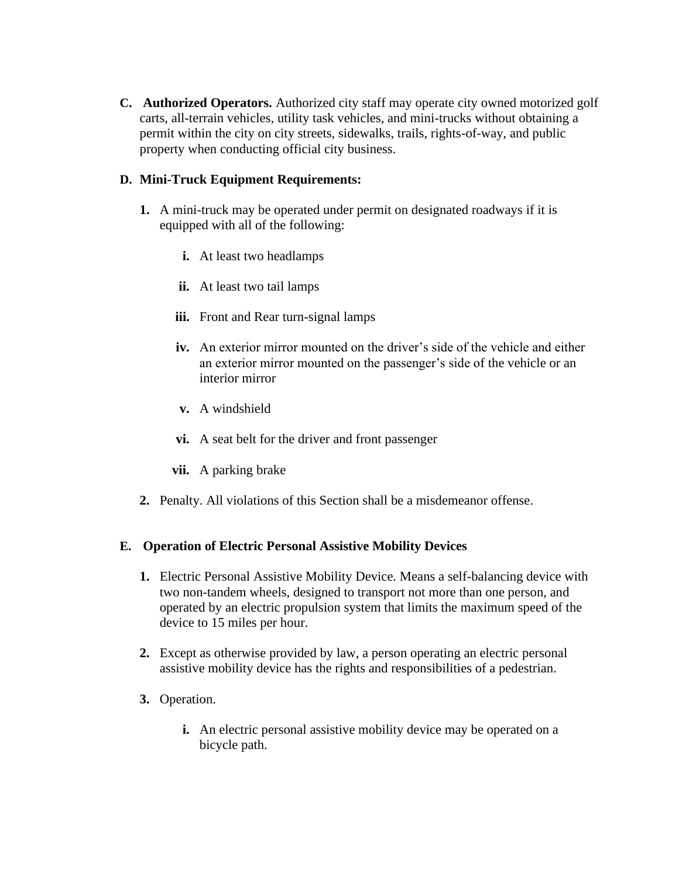**C. Authorized Operators.** Authorized city staff may operate city owned motorized golf carts, all-terrain vehicles, utility task vehicles, and mini-trucks without obtaining a permit within the city on city streets, sidewalks, trails, rights-of-way, and public property when conducting official city business.

# **D. Mini-Truck Equipment Requirements:**

- **1.** A mini-truck may be operated under permit on designated roadways if it is equipped with all of the following:
	- **i.** At least two headlamps
	- **ii.** At least two tail lamps
	- **iii.** Front and Rear turn-signal lamps
	- **iv.** An exterior mirror mounted on the driver's side of the vehicle and either an exterior mirror mounted on the passenger's side of the vehicle or an interior mirror
	- **v.** A windshield
	- **vi.** A seat belt for the driver and front passenger
	- **vii.** A parking brake
- **2.** Penalty. All violations of this Section shall be a misdemeanor offense.

# **E. Operation of Electric Personal Assistive Mobility Devices**

- **1.** Electric Personal Assistive Mobility Device. Means a self-balancing device with two non-tandem wheels, designed to transport not more than one person, and operated by an electric propulsion system that limits the maximum speed of the device to 15 miles per hour.
- **2.** Except as otherwise provided by law, a person operating an electric personal assistive mobility device has the rights and responsibilities of a pedestrian.
- **3.** Operation.
	- **i.** An electric personal assistive mobility device may be operated on a bicycle path.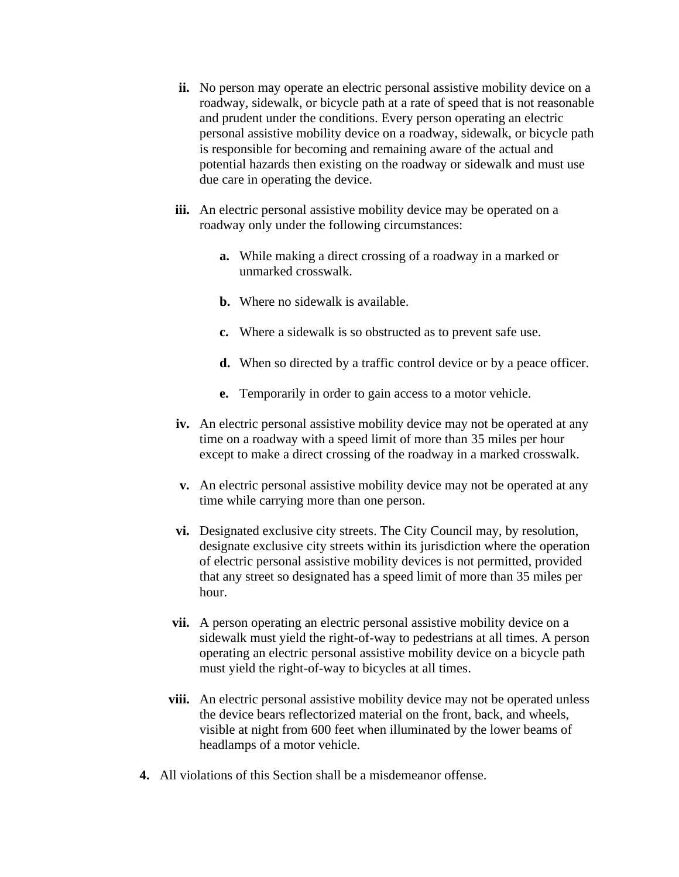- **ii.** No person may operate an electric personal assistive mobility device on a roadway, sidewalk, or bicycle path at a rate of speed that is not reasonable and prudent under the conditions. Every person operating an electric personal assistive mobility device on a roadway, sidewalk, or bicycle path is responsible for becoming and remaining aware of the actual and potential hazards then existing on the roadway or sidewalk and must use due care in operating the device.
- **iii.** An electric personal assistive mobility device may be operated on a roadway only under the following circumstances:
	- **a.** While making a direct crossing of a roadway in a marked or unmarked crosswalk.
	- **b.** Where no sidewalk is available.
	- **c.** Where a sidewalk is so obstructed as to prevent safe use.
	- **d.** When so directed by a traffic control device or by a peace officer.
	- **e.** Temporarily in order to gain access to a motor vehicle.
- **iv.** An electric personal assistive mobility device may not be operated at any time on a roadway with a speed limit of more than 35 miles per hour except to make a direct crossing of the roadway in a marked crosswalk.
- **v.** An electric personal assistive mobility device may not be operated at any time while carrying more than one person.
- **vi.** Designated exclusive city streets. The City Council may, by resolution, designate exclusive city streets within its jurisdiction where the operation of electric personal assistive mobility devices is not permitted, provided that any street so designated has a speed limit of more than 35 miles per hour.
- **vii.** A person operating an electric personal assistive mobility device on a sidewalk must yield the right-of-way to pedestrians at all times. A person operating an electric personal assistive mobility device on a bicycle path must yield the right-of-way to bicycles at all times.
- **viii.** An electric personal assistive mobility device may not be operated unless the device bears reflectorized material on the front, back, and wheels, visible at night from 600 feet when illuminated by the lower beams of headlamps of a motor vehicle.
- **4.** All violations of this Section shall be a misdemeanor offense.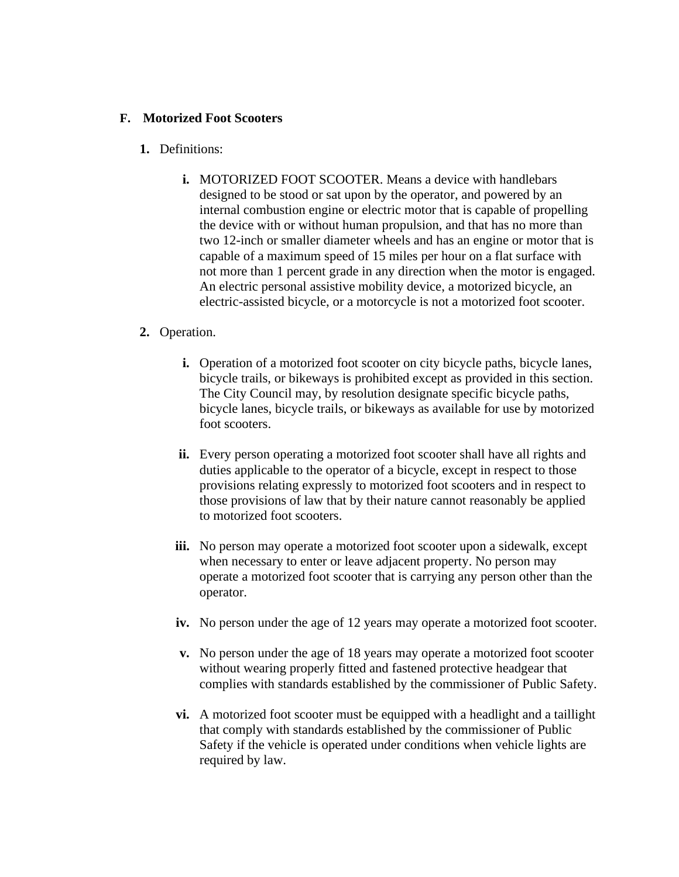## **F. Motorized Foot Scooters**

- **1.** Definitions:
	- **i.** MOTORIZED FOOT SCOOTER. Means a device with handlebars designed to be stood or sat upon by the operator, and powered by an internal combustion engine or electric motor that is capable of propelling the device with or without human propulsion, and that has no more than two 12-inch or smaller diameter wheels and has an engine or motor that is capable of a maximum speed of 15 miles per hour on a flat surface with not more than 1 percent grade in any direction when the motor is engaged. An electric personal assistive mobility device, a motorized bicycle, an electric-assisted bicycle, or a motorcycle is not a motorized foot scooter.

## **2.** Operation.

- **i.** Operation of a motorized foot scooter on city bicycle paths, bicycle lanes, bicycle trails, or bikeways is prohibited except as provided in this section. The City Council may, by resolution designate specific bicycle paths, bicycle lanes, bicycle trails, or bikeways as available for use by motorized foot scooters.
- **ii.** Every person operating a motorized foot scooter shall have all rights and duties applicable to the operator of a bicycle, except in respect to those provisions relating expressly to motorized foot scooters and in respect to those provisions of law that by their nature cannot reasonably be applied to motorized foot scooters.
- **iii.** No person may operate a motorized foot scooter upon a sidewalk, except when necessary to enter or leave adjacent property. No person may operate a motorized foot scooter that is carrying any person other than the operator.
- **iv.** No person under the age of 12 years may operate a motorized foot scooter.
- **v.** No person under the age of 18 years may operate a motorized foot scooter without wearing properly fitted and fastened protective headgear that complies with standards established by the commissioner of Public Safety.
- **vi.** A motorized foot scooter must be equipped with a headlight and a taillight that comply with standards established by the commissioner of Public Safety if the vehicle is operated under conditions when vehicle lights are required by law.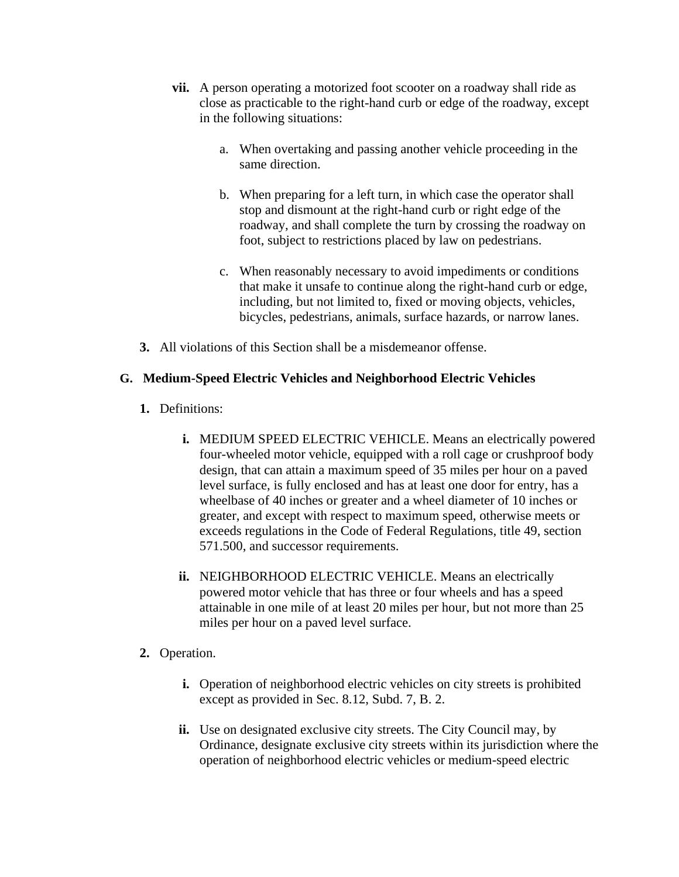- **vii.** A person operating a motorized foot scooter on a roadway shall ride as close as practicable to the right-hand curb or edge of the roadway, except in the following situations:
	- a. When overtaking and passing another vehicle proceeding in the same direction.
	- b. When preparing for a left turn, in which case the operator shall stop and dismount at the right-hand curb or right edge of the roadway, and shall complete the turn by crossing the roadway on foot, subject to restrictions placed by law on pedestrians.
	- c. When reasonably necessary to avoid impediments or conditions that make it unsafe to continue along the right-hand curb or edge, including, but not limited to, fixed or moving objects, vehicles, bicycles, pedestrians, animals, surface hazards, or narrow lanes.
- **3.** All violations of this Section shall be a misdemeanor offense.

## **G. Medium-Speed Electric Vehicles and Neighborhood Electric Vehicles**

- **1.** Definitions:
	- **i.** MEDIUM SPEED ELECTRIC VEHICLE. Means an electrically powered four-wheeled motor vehicle, equipped with a roll cage or crushproof body design, that can attain a maximum speed of 35 miles per hour on a paved level surface, is fully enclosed and has at least one door for entry, has a wheelbase of 40 inches or greater and a wheel diameter of 10 inches or greater, and except with respect to maximum speed, otherwise meets or exceeds regulations in the Code of Federal Regulations, title 49, section 571.500, and successor requirements.
	- **ii.** NEIGHBORHOOD ELECTRIC VEHICLE. Means an electrically powered motor vehicle that has three or four wheels and has a speed attainable in one mile of at least 20 miles per hour, but not more than 25 miles per hour on a paved level surface.
- **2.** Operation.
	- **i.** Operation of neighborhood electric vehicles on city streets is prohibited except as provided in Sec. 8.12, Subd. 7, B. 2.
	- **ii.** Use on designated exclusive city streets. The City Council may, by Ordinance, designate exclusive city streets within its jurisdiction where the operation of neighborhood electric vehicles or medium-speed electric